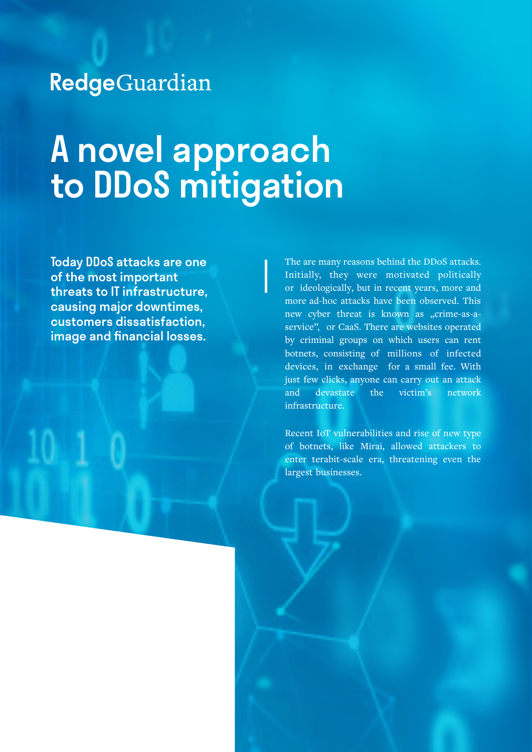## RedgeGuardian

# A novel approach to DDoS mitigation

Today DDoS attacks are one of the most important threats to IT infrastructure, causing major downtimes, customers dissatisfaction, image and financial losses.

The are many reasons behind the DDoS attacks. Initially, they were motivated politically or ideologically, but in recent years, more and more ad-hoc attacks have been observed. This new cyber threat is known as "crime-as-aservice", or CaaS. There are websites operated by criminal groups on which users can rent botnets, consisting of millions of infected devices, in exchange for a small fee. With just few clicks, anyone can carry out an attack and devastate the victim's network infrastructure.

Recent IoT vulnerabilities and rise of new type of botnets, like Mirai, allowed attackers to enter terabit-scale era, threatening even the largest businesses.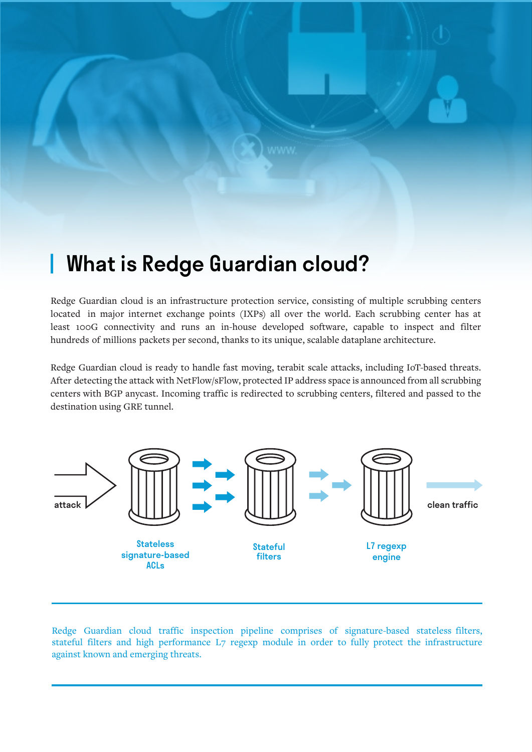### **What is Redge Guardian cloud?**

Redge Guardian cloud is an infrastructure protection service, consisting of multiple scrubbing centers located in major internet exchange points (IXPs) all over the world. Each scrubbing center has at least 100G connectivity and runs an in-house developed software, capable to inspect and filter hundreds of millions packets per second, thanks to its unique, scalable dataplane architecture.

Redge Guardian cloud is ready to handle fast moving, terabit scale attacks, including IoT-based threats. After detecting the attack with NetFlow/sFlow, protected IP address space is announced from all scrubbing centers with BGP anycast. Incoming traffic is redirected to scrubbing centers, filtered and passed to the destination using GRE tunnel.



Redge Guardian cloud traffic inspection pipeline comprises of signature-based stateless filters, stateful filters and high performance L7 regexp module in order to fully protect the infrastructure against known and emerging threats.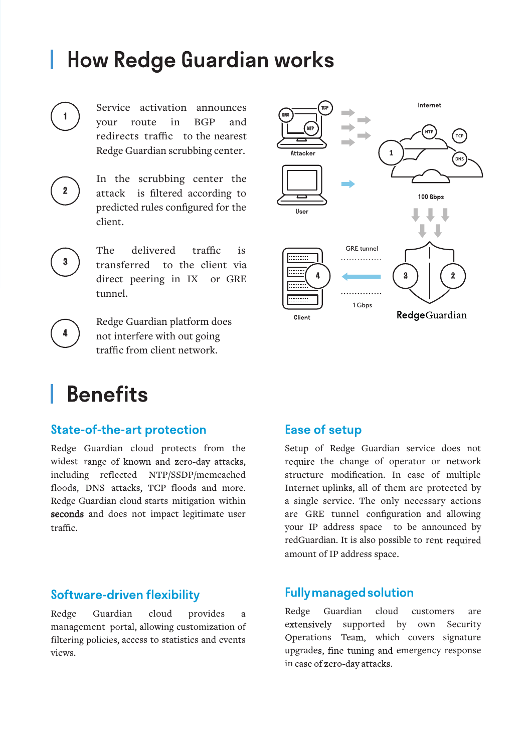### **How Redge Guardian works**

Service activation announces your route in BGP and redirects traffic to the nearest Redge Guardian scrubbing center.



1

In the scrubbing center the attack is filtered according to predicted rules configured for the client.

The delivered traffic is transferred to the client via direct peering in IX or GRE tunnel.

4

3

Redge Guardian platform does not interfere with out going traffic from client network.



### **Benefits**

#### **State-of-the-art protection**

Redge Guardian cloud protects from the widest range of known and zero-day attacks, including reflected NTP/SSDP/memcached floods, DNS attacks, TCP floods and more. Redge Guardian cloud starts mitigation within seconds and does not impact legitimate user traffic.

### **Software-driven flexibility**

Redge Guardian cloud provides a management portal, allowing customization of filtering policies, access to statistics and events views.

### **Ease of setup**

Setup of Redge Guardian service does not require the change of operator or network structure modification. In case of multiple Internet uplinks, all of them are protected by a single service. The only necessary actions are GRE tunnel configuration and allowing your IP address space to be announced by redGuardian. It is also possible to re amount of IP address space.

#### **Fully managed solution**

Redge Guardian cloud customers are extensively supported by own Security Operations Team, which covers signature upgrades, fine tuning and emergency response in case of zero-day attacks.